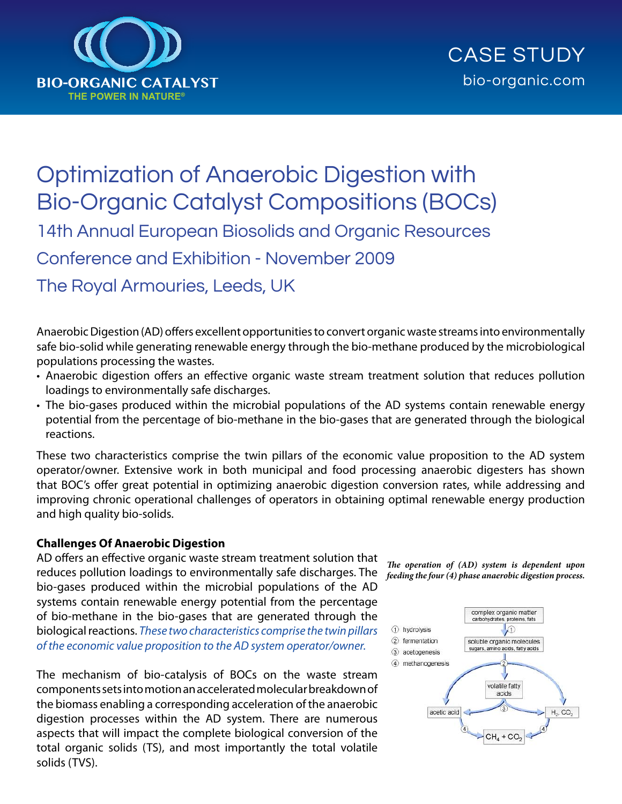

# Optimization of Anaerobic Digestion with Bio-Organic Catalyst Compositions (BOCs) 14th Annual European Biosolids and Organic Resources Conference and Exhibition - November 2009

The Royal Armouries, Leeds, UK

Anaerobic Digestion (AD) offers excellent opportunities to convert organic waste streams into environmentally safe bio-solid while generating renewable energy through the bio-methane produced by the microbiological populations processing the wastes.

- Anaerobic digestion offers an effective organic waste stream treatment solution that reduces pollution loadings to environmentally safe discharges.
- The bio-gases produced within the microbial populations of the AD systems contain renewable energy potential from the percentage of bio-methane in the bio-gases that are generated through the biological reactions.

These two characteristics comprise the twin pillars of the economic value proposition to the AD system operator/owner. Extensive work in both municipal and food processing anaerobic digesters has shown that BOC's offer great potential in optimizing anaerobic digestion conversion rates, while addressing and improving chronic operational challenges of operators in obtaining optimal renewable energy production and high quality bio-solids.

#### **Challenges Of Anaerobic Digestion**

AD offers an effective organic waste stream treatment solution that reduces pollution loadings to environmentally safe discharges. The bio-gases produced within the microbial populations of the AD systems contain renewable energy potential from the percentage of bio-methane in the bio-gases that are generated through the biological reactions. *These two characteristics comprise the twin pillars of the economic value proposition to the AD system operator/owner.*

The mechanism of bio-catalysis of BOCs on the waste stream components sets into motion an accelerated molecular breakdown of the biomass enabling a corresponding acceleration of the anaerobic digestion processes within the AD system. There are numerous aspects that will impact the complete biological conversion of the total organic solids (TS), and most importantly the total volatile solids (TVS).

*The operation of (AD) system is dependent upon feeding the four (4) phase anaerobic digestion process.*

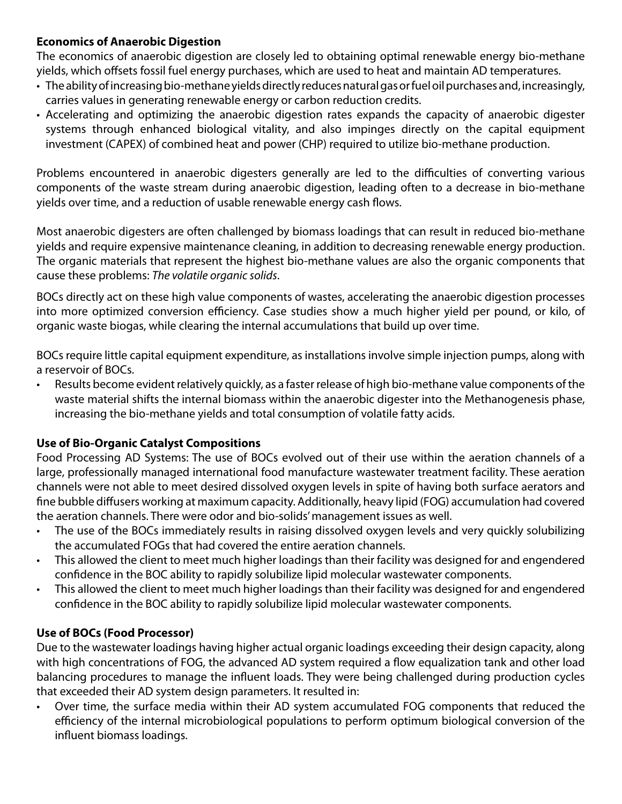## **Economics of Anaerobic Digestion**

The economics of anaerobic digestion are closely led to obtaining optimal renewable energy bio-methane yields, which offsets fossil fuel energy purchases, which are used to heat and maintain AD temperatures.

- • The ability of increasing bio-methane yields directly reduces natural gas or fuel oil purchases and, increasingly, carries values in generating renewable energy or carbon reduction credits.
- Accelerating and optimizing the anaerobic digestion rates expands the capacity of anaerobic digester systems through enhanced biological vitality, and also impinges directly on the capital equipment investment (CAPEX) of combined heat and power (CHP) required to utilize bio-methane production.

Problems encountered in anaerobic digesters generally are led to the difficulties of converting various components of the waste stream during anaerobic digestion, leading often to a decrease in bio-methane yields over time, and a reduction of usable renewable energy cash flows.

Most anaerobic digesters are often challenged by biomass loadings that can result in reduced bio-methane yields and require expensive maintenance cleaning, in addition to decreasing renewable energy production. The organic materials that represent the highest bio-methane values are also the organic components that cause these problems: *The volatile organic solids*.

BOCs directly act on these high value components of wastes, accelerating the anaerobic digestion processes into more optimized conversion efficiency. Case studies show a much higher yield per pound, or kilo, of organic waste biogas, while clearing the internal accumulations that build up over time.

BOCs require little capital equipment expenditure, as installations involve simple injection pumps, along with a reservoir of BOCs.

Results become evident relatively quickly, as a faster release of high bio-methane value components of the waste material shifts the internal biomass within the anaerobic digester into the Methanogenesis phase, increasing the bio-methane yields and total consumption of volatile fatty acids.

## **Use of Bio-Organic Catalyst Compositions**

Food Processing AD Systems: The use of BOCs evolved out of their use within the aeration channels of a large, professionally managed international food manufacture wastewater treatment facility. These aeration channels were not able to meet desired dissolved oxygen levels in spite of having both surface aerators and fine bubble diffusers working at maximum capacity. Additionally, heavy lipid (FOG) accumulation had covered the aeration channels. There were odor and bio-solids' management issues as well.

- The use of the BOCs immediately results in raising dissolved oxygen levels and very quickly solubilizing the accumulated FOGs that had covered the entire aeration channels.
- This allowed the client to meet much higher loadings than their facility was designed for and engendered confidence in the BOC ability to rapidly solubilize lipid molecular wastewater components.
- This allowed the client to meet much higher loadings than their facility was designed for and engendered confidence in the BOC ability to rapidly solubilize lipid molecular wastewater components.

## **Use of BOCs (Food Processor)**

Due to the wastewater loadings having higher actual organic loadings exceeding their design capacity, along with high concentrations of FOG, the advanced AD system required a flow equalization tank and other load balancing procedures to manage the influent loads. They were being challenged during production cycles that exceeded their AD system design parameters. It resulted in:

Over time, the surface media within their AD system accumulated FOG components that reduced the efficiency of the internal microbiological populations to perform optimum biological conversion of the influent biomass loadings.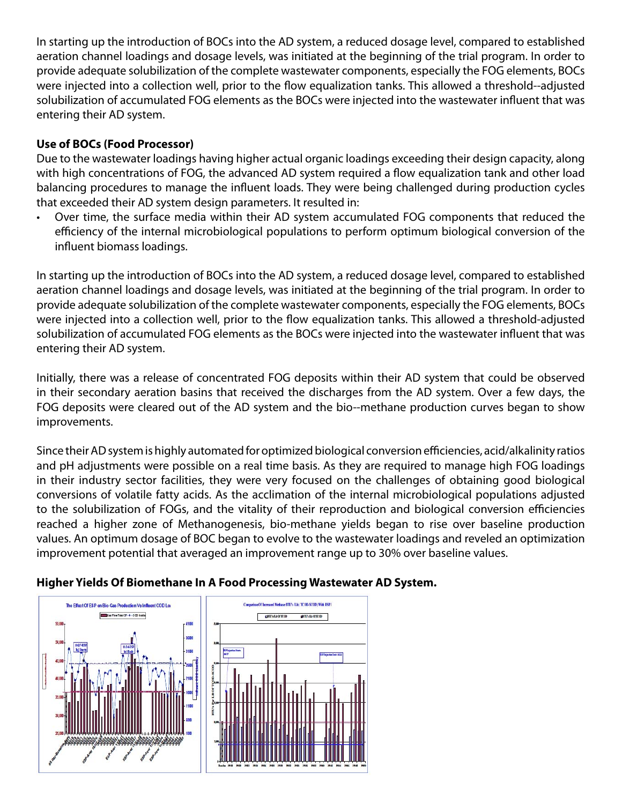In starting up the introduction of BOCs into the AD system, a reduced dosage level, compared to established aeration channel loadings and dosage levels, was initiated at the beginning of the trial program. In order to provide adequate solubilization of the complete wastewater components, especially the FOG elements, BOCs were injected into a collection well, prior to the flow equalization tanks. This allowed a threshold-‐adjusted solubilization of accumulated FOG elements as the BOCs were injected into the wastewater influent that was entering their AD system.

## **Use of BOCs (Food Processor)**

Due to the wastewater loadings having higher actual organic loadings exceeding their design capacity, along with high concentrations of FOG, the advanced AD system required a flow equalization tank and other load balancing procedures to manage the influent loads. They were being challenged during production cycles that exceeded their AD system design parameters. It resulted in:

Over time, the surface media within their AD system accumulated FOG components that reduced the efficiency of the internal microbiological populations to perform optimum biological conversion of the influent biomass loadings.

In starting up the introduction of BOCs into the AD system, a reduced dosage level, compared to established aeration channel loadings and dosage levels, was initiated at the beginning of the trial program. In order to provide adequate solubilization of the complete wastewater components, especially the FOG elements, BOCs were injected into a collection well, prior to the flow equalization tanks. This allowed a threshold-adjusted solubilization of accumulated FOG elements as the BOCs were injected into the wastewater influent that was entering their AD system.

Initially, there was a release of concentrated FOG deposits within their AD system that could be observed in their secondary aeration basins that received the discharges from the AD system. Over a few days, the FOG deposits were cleared out of the AD system and the bio--methane production curves began to show improvements.

Since their AD system is highly automated for optimized biological conversion efficiencies, acid/alkalinity ratios and pH adjustments were possible on a real time basis. As they are required to manage high FOG loadings in their industry sector facilities, they were very focused on the challenges of obtaining good biological conversions of volatile fatty acids. As the acclimation of the internal microbiological populations adjusted to the solubilization of FOGs, and the vitality of their reproduction and biological conversion efficiencies reached a higher zone of Methanogenesis, bio-methane yields began to rise over baseline production values. An optimum dosage of BOC began to evolve to the wastewater loadings and reveled an optimization improvement potential that averaged an improvement range up to 30% over baseline values.

## **Higher Yields Of Biomethane In A Food Processing Wastewater AD System.**

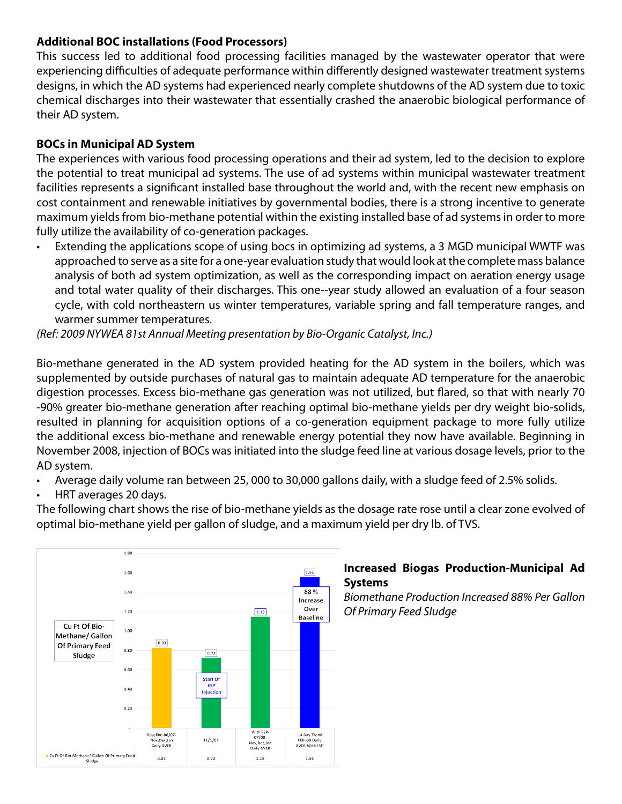#### **Additional BOC installations (Food Processors)**

This success led to additional food processing facilities managed by the wastewater operator that were experiencing difficulties of adequate performance within differently designed wastewater treatment systems designs, in which the AD systems had experienced nearly complete shutdowns of the AD system due to toxic chemical discharges into their wastewater that essentially crashed the anaerobic biological performance of their AD system.

## **BOCs in Municipal AD System**

The experiences with various food processing operations and their ad system, led to the decision to explore the potential to treat municipal ad systems. The use of ad systems within municipal wastewater treatment facilities represents a significant installed base throughout the world and, with the recent new emphasis on cost containment and renewable initiatives by governmental bodies, there is a strong incentive to generate maximum yields from bio-methane potential within the existing installed base of ad systems in order to more fully utilize the availability of co-generation packages.

Extending the applications scope of using bocs in optimizing ad systems, a 3 MGD municipal WWTF was approached to serve as a site for a one-year evaluation study that would look at the complete mass balance analysis of both ad system optimization, as well as the corresponding impact on aeration energy usage and total water quality of their discharges. This one--year study allowed an evaluation of a four season cycle, with cold northeastern us winter temperatures, variable spring and fall temperature ranges, and warmer summer temperatures.

*(Ref: 2009 NYWEA 81st Annual Meeting presentation by Bio-Organic Catalyst, Inc.)*

Bio-methane generated in the AD system provided heating for the AD system in the boilers, which was supplemented by outside purchases of natural gas to maintain adequate AD temperature for the anaerobic digestion processes. Excess bio-methane gas generation was not utilized, but flared, so that with nearly 70 -90% greater bio-methane generation after reaching optimal bio-methane yields per dry weight bio-solids, resulted in planning for acquisition options of a co-generation equipment package to more fully utilize the additional excess bio-methane and renewable energy potential they now have available. Beginning in November 2008, injection of BOCs was initiated into the sludge feed line at various dosage levels, prior to the AD system.

- Average daily volume ran between 25, 000 to 30,000 gallons daily, with a sludge feed of 2.5% solids.
- HRT averages 20 days.

The following chart shows the rise of bio-methane yields as the dosage rate rose until a clear zone evolved of optimal bio-methane yield per gallon of sludge, and a maximum yield per dry lb. of TVS.



#### **Increased Biogas Production-Municipal Ad Systems**

*Biomethane Production Increased 88% Per Gallon Of Primary Feed Sludge*